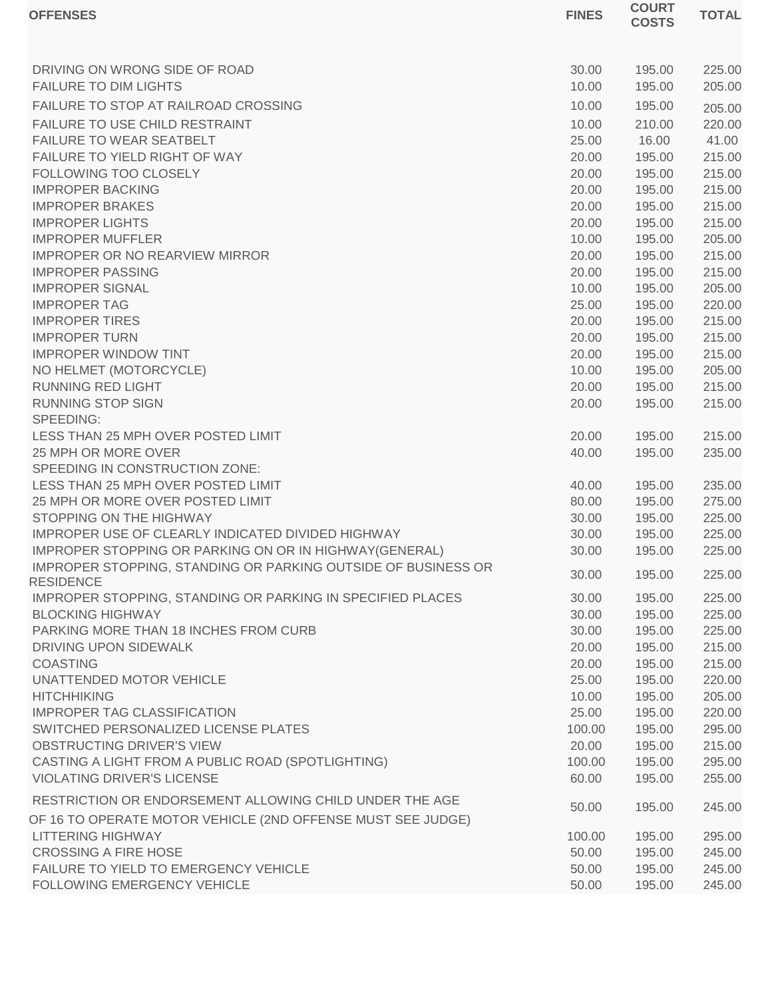| <b>OFFENSES</b>                                                                   | <b>FINES</b> | <b>COURT</b><br><b>COSTS</b> | <b>TOTAL</b> |
|-----------------------------------------------------------------------------------|--------------|------------------------------|--------------|
|                                                                                   |              |                              |              |
| DRIVING ON WRONG SIDE OF ROAD                                                     | 30.00        | 195.00                       | 225.00       |
| <b>FAILURE TO DIM LIGHTS</b>                                                      | 10.00        | 195.00                       | 205.00       |
| FAILURE TO STOP AT RAILROAD CROSSING                                              | 10.00        | 195.00                       | 205.00       |
| FAILURE TO USE CHILD RESTRAINT                                                    | 10.00        | 210.00                       | 220.00       |
| FAILURE TO WEAR SEATBELT                                                          | 25.00        | 16.00                        | 41.00        |
| FAILURE TO YIELD RIGHT OF WAY                                                     | 20.00        | 195.00                       | 215.00       |
| FOLLOWING TOO CLOSELY                                                             | 20.00        | 195.00                       | 215.00       |
| <b>IMPROPER BACKING</b>                                                           | 20.00        | 195.00                       | 215.00       |
| <b>IMPROPER BRAKES</b>                                                            | 20.00        | 195.00                       | 215.00       |
| <b>IMPROPER LIGHTS</b>                                                            | 20.00        | 195.00                       | 215.00       |
| <b>IMPROPER MUFFLER</b>                                                           | 10.00        | 195.00                       | 205.00       |
| <b>IMPROPER OR NO REARVIEW MIRROR</b>                                             | 20.00        | 195.00                       | 215.00       |
| <b>IMPROPER PASSING</b>                                                           | 20.00        | 195.00                       | 215.00       |
| <b>IMPROPER SIGNAL</b>                                                            | 10.00        | 195.00                       | 205.00       |
| <b>IMPROPER TAG</b>                                                               | 25.00        | 195.00                       | 220.00       |
| <b>IMPROPER TIRES</b>                                                             | 20.00        | 195.00                       | 215.00       |
| <b>IMPROPER TURN</b>                                                              | 20.00        | 195.00                       | 215.00       |
| <b>IMPROPER WINDOW TINT</b>                                                       | 20.00        | 195.00                       | 215.00       |
| NO HELMET (MOTORCYCLE)                                                            | 10.00        | 195.00                       | 205.00       |
| <b>RUNNING RED LIGHT</b>                                                          | 20.00        | 195.00                       | 215.00       |
| <b>RUNNING STOP SIGN</b>                                                          | 20.00        | 195.00                       | 215.00       |
| SPEEDING:                                                                         |              |                              |              |
| LESS THAN 25 MPH OVER POSTED LIMIT                                                | 20.00        | 195.00                       | 215.00       |
| 25 MPH OR MORE OVER                                                               | 40.00        | 195.00                       | 235.00       |
| SPEEDING IN CONSTRUCTION ZONE:                                                    |              |                              |              |
| LESS THAN 25 MPH OVER POSTED LIMIT                                                | 40.00        | 195.00                       | 235.00       |
| 25 MPH OR MORE OVER POSTED LIMIT                                                  | 80.00        | 195.00                       | 275.00       |
| STOPPING ON THE HIGHWAY                                                           | 30.00        | 195.00                       | 225.00       |
| IMPROPER USE OF CLEARLY INDICATED DIVIDED HIGHWAY                                 | 30.00        | 195.00                       | 225.00       |
| IMPROPER STOPPING OR PARKING ON OR IN HIGHWAY(GENERAL)                            | 30.00        | 195.00                       | 225.00       |
| IMPROPER STOPPING, STANDING OR PARKING OUTSIDE OF BUSINESS OR<br><b>RESIDENCE</b> | 30.00        | 195.00                       | 225.00       |
| IMPROPER STOPPING, STANDING OR PARKING IN SPECIFIED PLACES                        | 30.00        | 195.00                       | 225.00       |
| <b>BLOCKING HIGHWAY</b>                                                           | 30.00        | 195.00                       | 225.00       |
| PARKING MORE THAN 18 INCHES FROM CURB                                             | 30.00        | 195.00                       | 225.00       |
| DRIVING UPON SIDEWALK                                                             | 20.00        | 195.00                       | 215.00       |
| <b>COASTING</b>                                                                   | 20.00        | 195.00                       | 215.00       |
| UNATTENDED MOTOR VEHICLE                                                          | 25.00        | 195.00                       | 220.00       |
| <b>HITCHHIKING</b>                                                                | 10.00        | 195.00                       | 205.00       |
| <b>IMPROPER TAG CLASSIFICATION</b>                                                | 25.00        | 195.00                       | 220.00       |
| SWITCHED PERSONALIZED LICENSE PLATES                                              | 100.00       | 195.00                       | 295.00       |
| OBSTRUCTING DRIVER'S VIEW                                                         | 20.00        | 195.00                       | 215.00       |
| CASTING A LIGHT FROM A PUBLIC ROAD (SPOTLIGHTING)                                 | 100.00       | 195.00                       | 295.00       |
| <b>VIOLATING DRIVER'S LICENSE</b>                                                 | 60.00        | 195.00                       | 255.00       |
| RESTRICTION OR ENDORSEMENT ALLOWING CHILD UNDER THE AGE                           | 50.00        | 195.00                       | 245.00       |
| OF 16 TO OPERATE MOTOR VEHICLE (2ND OFFENSE MUST SEE JUDGE)                       |              |                              |              |
| <b>LITTERING HIGHWAY</b>                                                          | 100.00       | 195.00                       | 295.00       |
| <b>CROSSING A FIRE HOSE</b>                                                       | 50.00        | 195.00                       | 245.00       |
| FAILURE TO YIELD TO EMERGENCY VEHICLE                                             | 50.00        | 195.00                       | 245.00       |
| FOLLOWING EMERGENCY VEHICLE                                                       | 50.00        | 195.00                       | 245.00       |